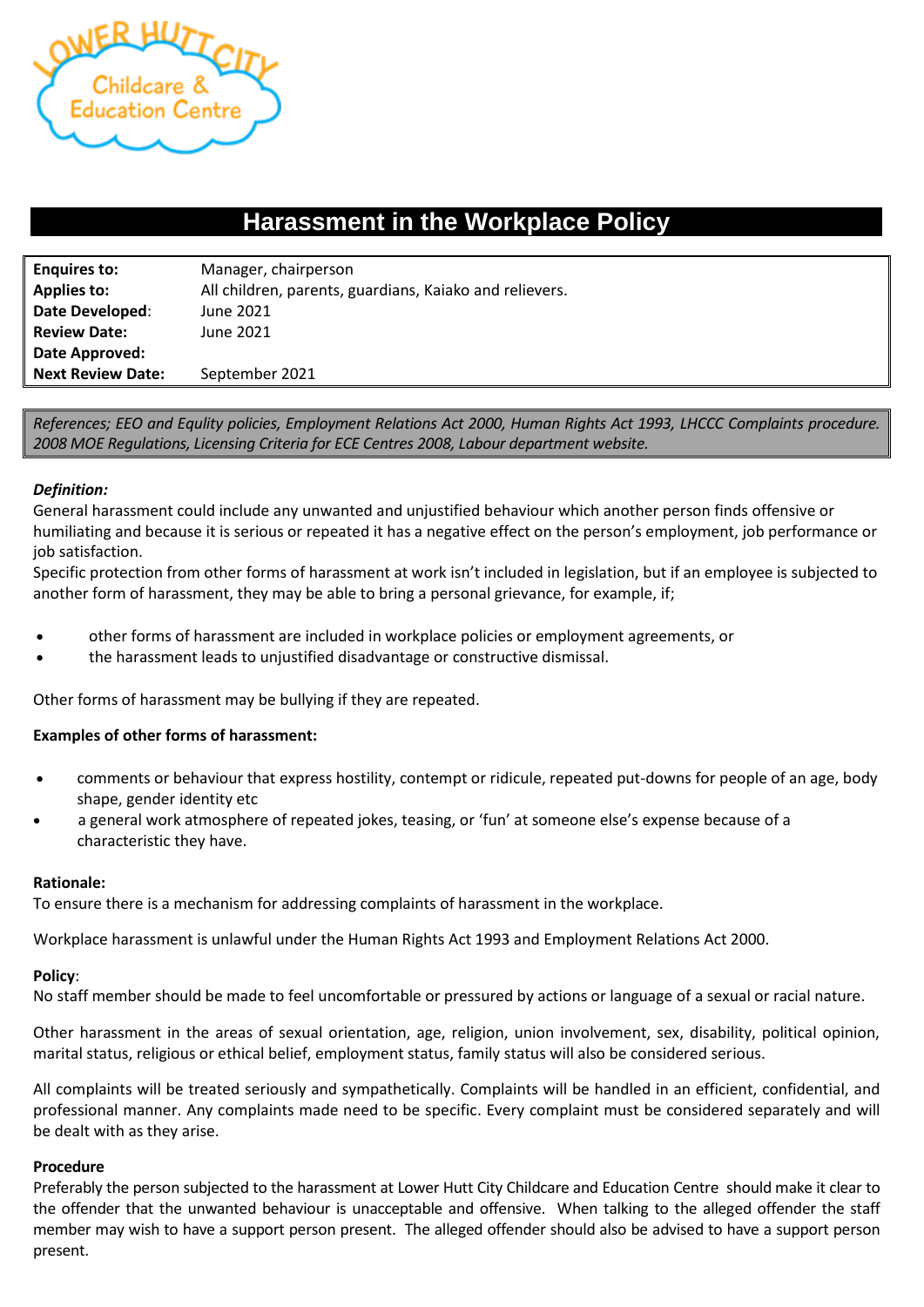

# **Harassment in the Workplace Policy**

| <b>Enquires to:</b>      | Manager, chairperson                                    |
|--------------------------|---------------------------------------------------------|
| <b>Applies to:</b>       | All children, parents, guardians, Kaiako and relievers. |
| Date Developed:          | June 2021                                               |
| <b>Review Date:</b>      | June 2021                                               |
| Date Approved:           |                                                         |
| <b>Next Review Date:</b> | September 2021                                          |

*References; EEO and Equlity policies, Employment Relations Act 2000, Human Rights Act 1993, LHCCC Complaints procedure. 2008 MOE Regulations, Licensing Criteria for ECE Centres 2008, Labour department website.* 

## *Definition:*

General harassment could include any unwanted and unjustified behaviour which another person finds offensive or humiliating and because it is serious or repeated it has a negative effect on the person's employment, job performance or job satisfaction.

Specific protection from other forms of harassment at work isn't included in legislation, but if an employee is subjected to another form of harassment, they may be able to bring a personal grievance, for example, if;

- other forms of harassment are included in workplace policies or employment agreements, or
- the harassment leads to unjustified disadvantage or constructive dismissal.

Other forms of harassment may be bullying if they are repeated.

### **Examples of other forms of harassment:**

- comments or behaviour that express hostility, contempt or ridicule, repeated put-downs for people of an age, body shape, gender identity etc
- a general work atmosphere of repeated jokes, teasing, or 'fun' at someone else's expense because of a characteristic they have.

### **Rationale:**

To ensure there is a mechanism for addressing complaints of harassment in the workplace.

Workplace harassment is unlawful under the Human Rights Act 1993 and Employment Relations Act 2000.

### **Policy**:

No staff member should be made to feel uncomfortable or pressured by actions or language of a sexual or racial nature.

Other harassment in the areas of sexual orientation, age, religion, union involvement, sex, disability, political opinion, marital status, religious or ethical belief, employment status, family status will also be considered serious.

All complaints will be treated seriously and sympathetically. Complaints will be handled in an efficient, confidential, and professional manner. Any complaints made need to be specific. Every complaint must be considered separately and will be dealt with as they arise.

### **Procedure**

Preferably the person subjected to the harassment at Lower Hutt City Childcare and Education Centre should make it clear to the offender that the unwanted behaviour is unacceptable and offensive. When talking to the alleged offender the staff member may wish to have a support person present. The alleged offender should also be advised to have a support person present.